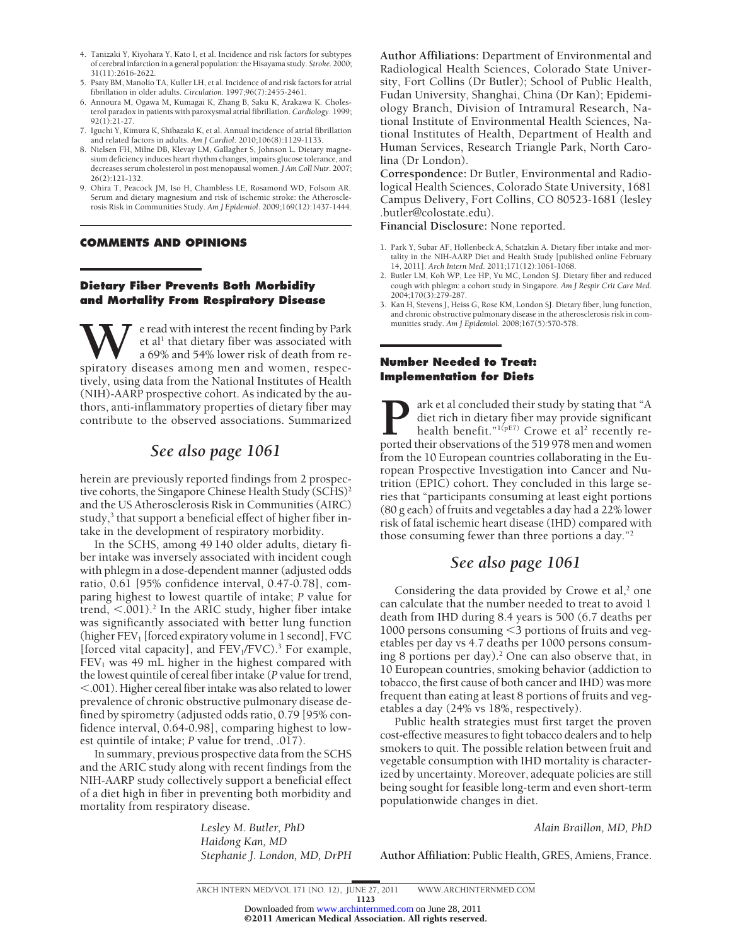- 4. Tanizaki Y, Kiyohara Y, Kato I, et al. Incidence and risk factors for subtypes of cerebral infarction in a general population: the Hisayama study. *Stroke*. 2000; 31(11):2616-2622.
- 5. Psaty BM, Manolio TA, Kuller LH, et al. Incidence of and risk factors for atrial fibrillation in older adults. *Circulation*. 1997;96(7):2455-2461.
- 6. Annoura M, Ogawa M, Kumagai K, Zhang B, Saku K, Arakawa K. Cholesterol paradox in patients with paroxysmal atrial fibrillation. *Cardiology*. 1999; 92(1):21-27.
- 7. Iguchi Y, Kimura K, Shibazaki K, et al. Annual incidence of atrial fibrillation and related factors in adults. *Am J Cardiol*. 2010;106(8):1129-1133.
- 8. Nielsen FH, Milne DB, Klevay LM, Gallagher S, Johnson L. Dietary magnesium deficiency induces heart rhythm changes, impairs glucose tolerance, and decreases serum cholesterol in post menopausal women. *J Am Coll Nutr*. 2007; 26(2):121-132.
- 9. Ohira T, Peacock JM, Iso H, Chambless LE, Rosamond WD, Folsom AR. Serum and dietary magnesium and risk of ischemic stroke: the Atherosclerosis Risk in Communities Study. *Am J Epidemiol*. 2009;169(12):1437-1444.

### **COMMENTS AND OPINIONS**

## **Dietary Fiber Prevents Both Morbidity and Mortality From Respiratory Disease**

W eread with interest the recent finding by Park<br>
a 69% and 54% lower risk of death from re-<br>
spiratory diseases among men and women, respecet al<sup>1</sup> that dietary fiber was associated with a 69% and 54% lower risk of death from retively, using data from the National Institutes of Health (NIH)-AARP prospective cohort. As indicated by the authors, anti-inflammatory properties of dietary fiber may contribute to the observed associations. Summarized

## *See also page 1061*

herein are previously reported findings from 2 prospective cohorts, the Singapore Chinese Health Study (SCHS)<sup>2</sup> and the US Atherosclerosis Risk in Communities (AIRC) study,<sup>3</sup> that support a beneficial effect of higher fiber intake in the development of respiratory morbidity.

In the SCHS, among 49 140 older adults, dietary fiber intake was inversely associated with incident cough with phlegm in a dose-dependent manner (adjusted odds ratio, 0.61 [95% confidence interval, 0.47-0.78], comparing highest to lowest quartile of intake; *P* value for trend,  $<$  001).<sup>2</sup> In the ARIC study, higher fiber intake was significantly associated with better lung function (higher  $FEV<sub>1</sub>$  [forced expiratory volume in 1 second], FVC [forced vital capacity], and  $FEV_1/FVC$ ).<sup>3</sup> For example,  $FEV<sub>1</sub>$  was 49 mL higher in the highest compared with the lowest quintile of cereal fiber intake (*P* value for trend, -.001). Higher cereal fiber intake was also related to lower prevalence of chronic obstructive pulmonary disease defined by spirometry (adjusted odds ratio, 0.79 [95% confidence interval, 0.64-0.98], comparing highest to lowest quintile of intake; *P* value for trend, .017).

In summary, previous prospective data from the SCHS and the ARIC study along with recent findings from the NIH-AARP study collectively support a beneficial effect of a diet high in fiber in preventing both morbidity and mortality from respiratory disease.

> *Lesley M. Butler, PhD Haidong Kan, MD Stephanie J. London, MD, DrPH*

**Author Affiliations:** Department of Environmental and Radiological Health Sciences, Colorado State University, Fort Collins (Dr Butler); School of Public Health, Fudan University, Shanghai, China (Dr Kan); Epidemiology Branch, Division of Intramural Research, National Institute of Environmental Health Sciences, National Institutes of Health, Department of Health and Human Services, Research Triangle Park, North Carolina (Dr London).

**Correspondence:** Dr Butler, Environmental and Radiological Health Sciences, Colorado State University, 1681 Campus Delivery, Fort Collins, CO 80523-1681 (lesley .butler@colostate.edu).

**Financial Disclosure:** None reported.

- 1. Park Y, Subar AF, Hollenbeck A, Schatzkin A. Dietary fiber intake and mortality in the NIH-AARP Diet and Health Study [published online February 14, 2011]. *Arch Intern Med*. 2011;171(12):1061-1068.
- 2. Butler LM, Koh WP, Lee HP, Yu MC, London SJ. Dietary fiber and reduced cough with phlegm: a cohort study in Singapore. *Am J Respir Crit Care Med*. 2004;170(3):279-287.
- 3. Kan H, Stevens J, Heiss G, Rose KM, London SJ. Dietary fiber, lung function, and chronic obstructive pulmonary disease in the atherosclerosis risk in communities study. *Am J Epidemiol*. 2008;167(5):570-578.

## **Number Needed to Treat: Implementation for Diets**

**P**ark et al concluded their study by stating that "A diet rich in dietary fiber may provide significant health benefit."<sup>1(pE7)</sup> Crowe et al<sup>2</sup> recently reported their observations of the 519978 men and women diet rich in dietary fiber may provide significant health benefit."<sup>1(pE7)</sup> Crowe et al<sup>2</sup> recently reported their observations of the 519 978 men and women from the 10 European countries collaborating in the European Prospective Investigation into Cancer and Nutrition (EPIC) cohort. They concluded in this large series that "participants consuming at least eight portions (80 g each) of fruits and vegetables a day had a 22% lower risk of fatal ischemic heart disease (IHD) compared with those consuming fewer than three portions a day."2

# *See also page 1061*

Considering the data provided by Crowe et al, $2$  one can calculate that the number needed to treat to avoid 1 death from IHD during 8.4 years is 500 (6.7 deaths per 1000 persons consuming <3 portions of fruits and vegetables per day vs 4.7 deaths per 1000 persons consuming 8 portions per day). $^2$  One can also observe that, in 10 European countries, smoking behavior (addiction to tobacco, the first cause of both cancer and IHD) was more frequent than eating at least 8 portions of fruits and vegetables a day (24% vs 18%, respectively).

Public health strategies must first target the proven cost-effective measures to fight tobacco dealers and to help smokers to quit. The possible relation between fruit and vegetable consumption with IHD mortality is characterized by uncertainty. Moreover, adequate policies are still being sought for feasible long-term and even short-term populationwide changes in diet.

*Alain Braillon, MD, PhD*

**Author Affiliation:** Public Health, GRES, Amiens, France.

©2011 American Medical Association. All rights reserved. Downloaded from [www.archinternmed.com](http://www.archinternmed.com) on June 28, 2011

ARCH INTERN MED/ VOL 171 (NO. 12), JUNE 27, 2011 WWW.ARCHINTERNMED.COM 1123